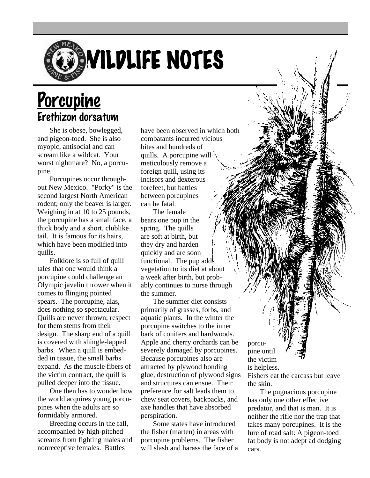

## Porcupine Erethizon dorsatum

She is obese, bowlegged, and pigeon-toed. She is also myopic, antisocial and can scream like a wildcat. Your worst nightmare? No, a porcupine.

Porcupines occur throughout New Mexico. "Porky" is the second largest North American rodent; only the beaver is larger. Weighing in at 10 to 25 pounds, the porcupine has a small face, a thick body and a short, clublike tail. It is famous for its hairs, which have been modified into quills.

Folklore is so full of quill tales that one would think a porcupine could challenge an Olympic javelin thrower when it comes to flinging pointed spears. The porcupine, alas, does nothing so spectacular. Quills are never thrown; respect for them stems from their design. The sharp end of a quill is covered with shingle-lapped barbs. When a quill is embedded in tissue, the small barbs expand. As the muscle fibers of the victim contract, the quill is pulled deeper into the tissue.

One then has to wonder how the world acquires young porcupines when the adults are so formidably armored.

Breeding occurs in the fall, accompanied by high-pitched screams from fighting males and nonreceptive females. Battles

have been observed in which both combatants incurred vicious bites and hundreds of quills. A porcupine will meticulously remove a foreign quill, using its incisors and dexterous forefeet, but battles between porcupines can be fatal.

The female bears one pup in the spring. The quills are soft at birth, but they dry and harden quickly and are soon functional. The pup adds vegetation to its diet at about a week after birth, but probably continues to nurse through the summer.

The summer diet consists primarily of grasses, forbs, and aquatic plants. In the winter the porcupine switches to the inner bark of conifers and hardwoods. Apple and cherry orchards can be severely damaged by porcupines. Because porcupines also are attracted by plywood bonding glue, destruction of plywood signs and structures can ensue. Their preference for salt leads them to chew seat covers, backpacks, and axe handles that have absorbed perspiration.

Some states have introduced the fisher (marten) in areas with porcupine problems. The fisher will slash and harass the face of a

porcupine until the victim is helpless. Fishers eat the carcass but leave

the skin.

The pugnacious porcupine has only one other effective predator, and that is man. It is neither the rifle nor the trap that takes many porcupines. It is the lure of road salt: A pigeon-toed fat body is not adept ad dodging cars.